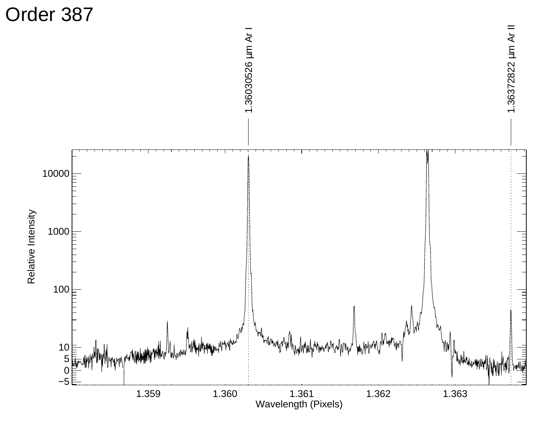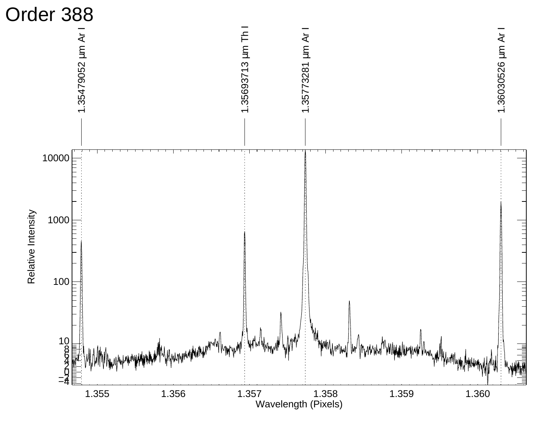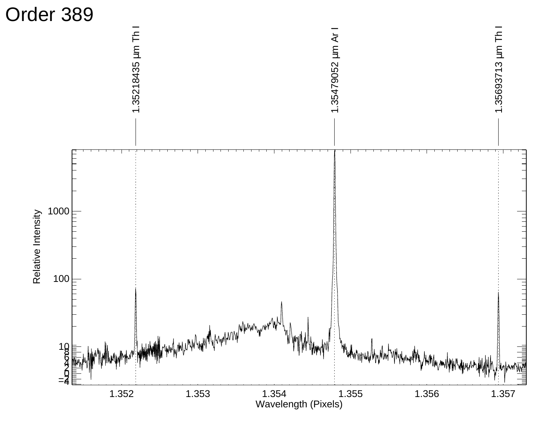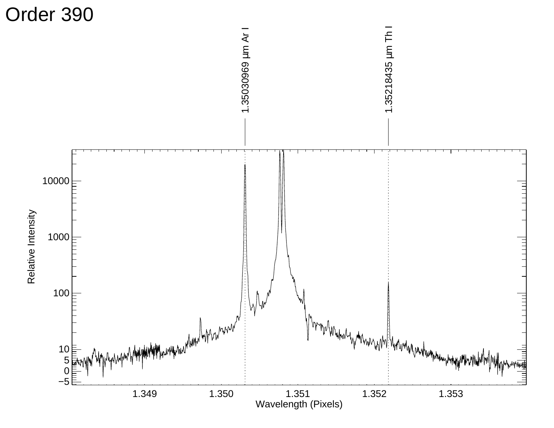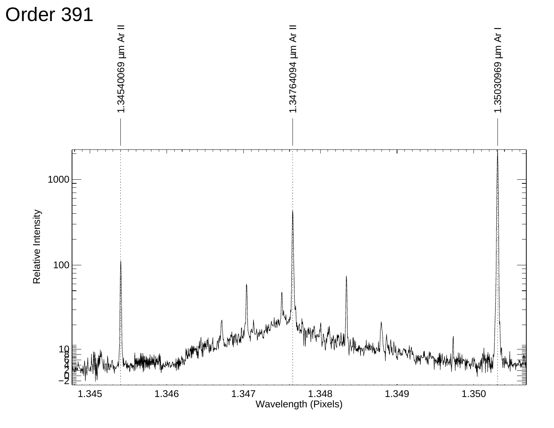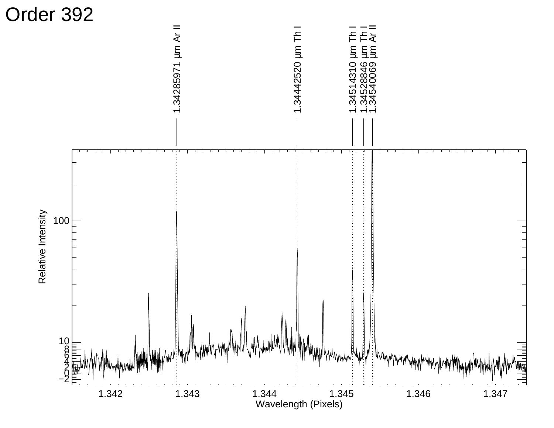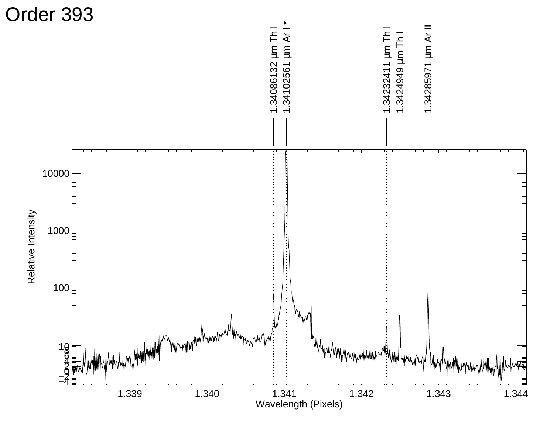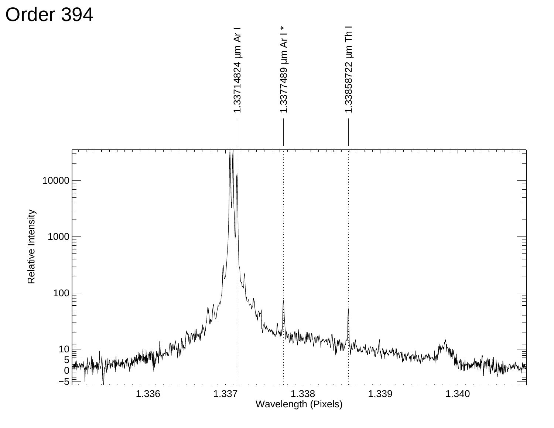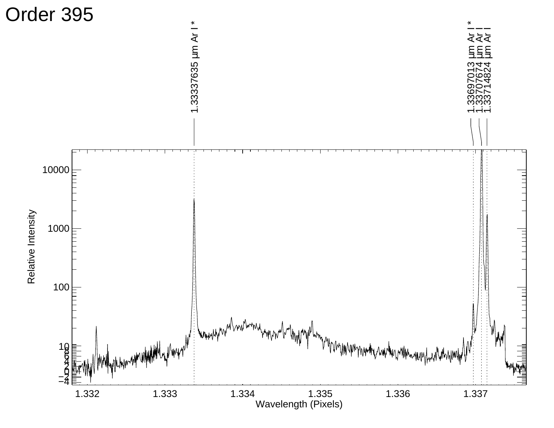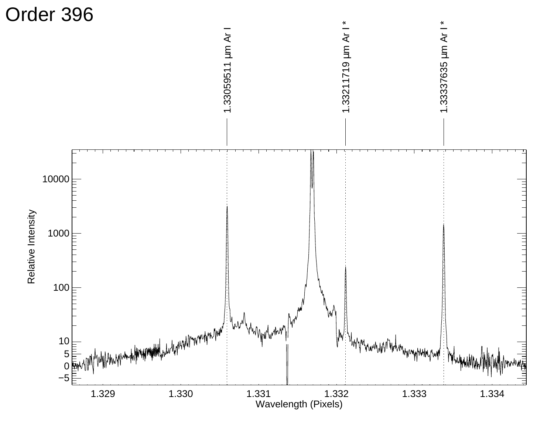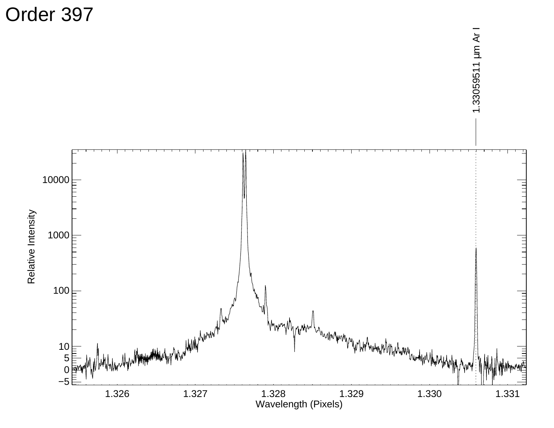Order 397

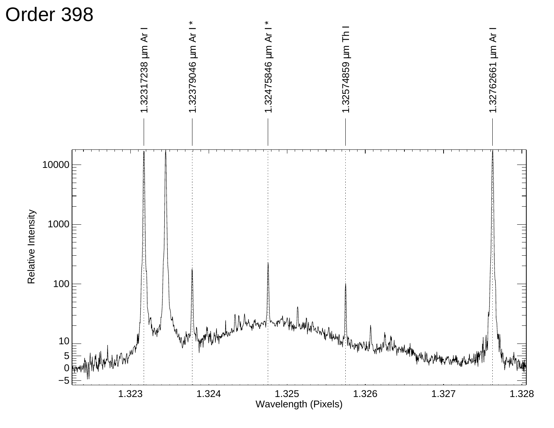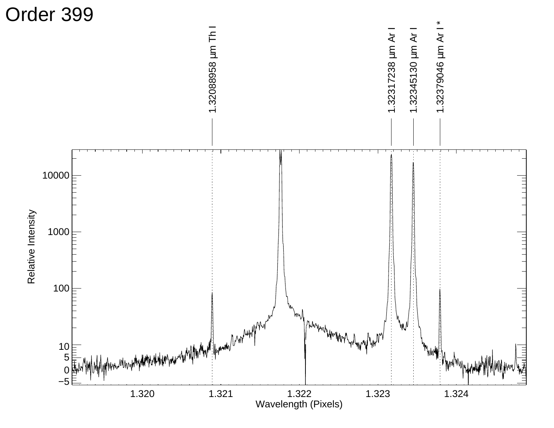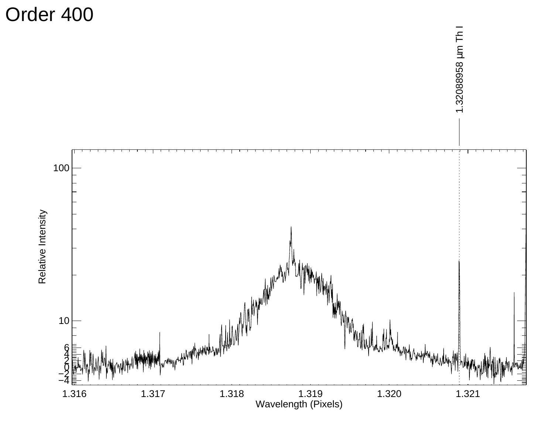Order 400

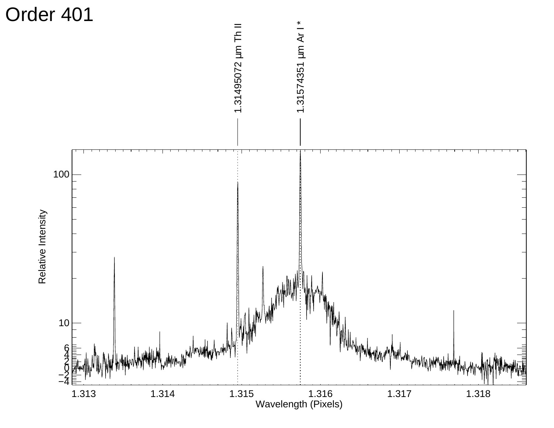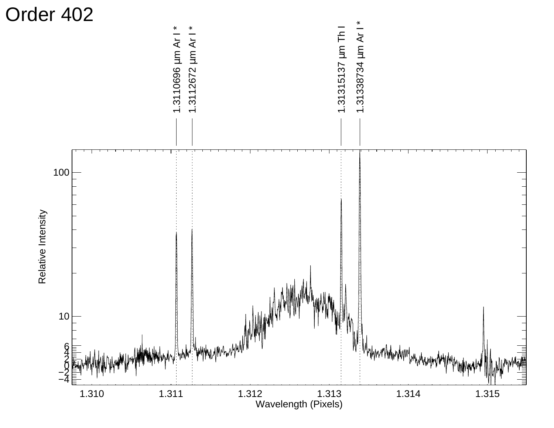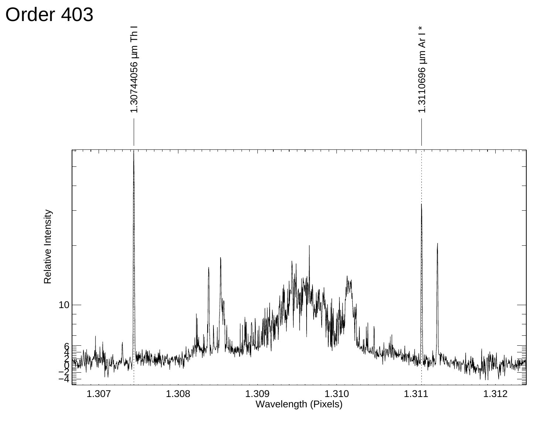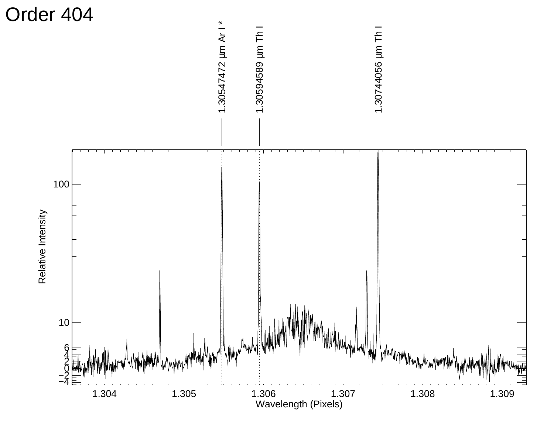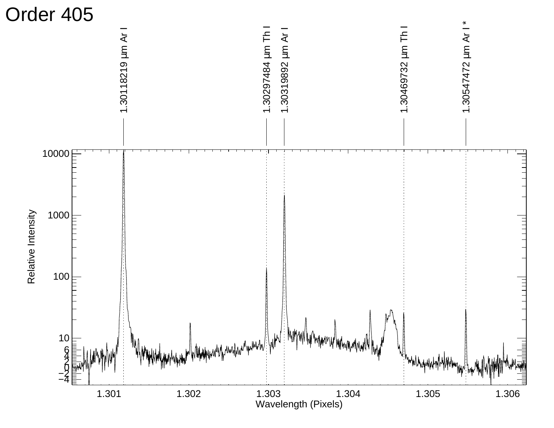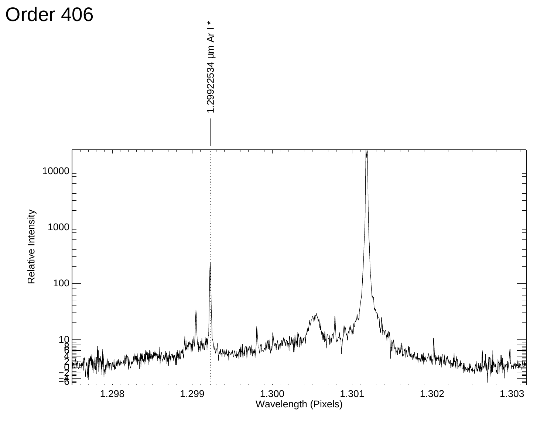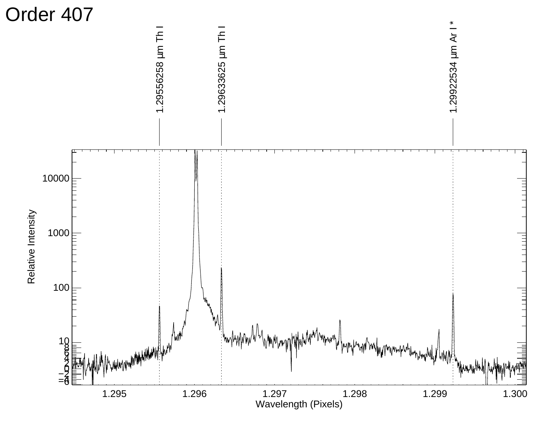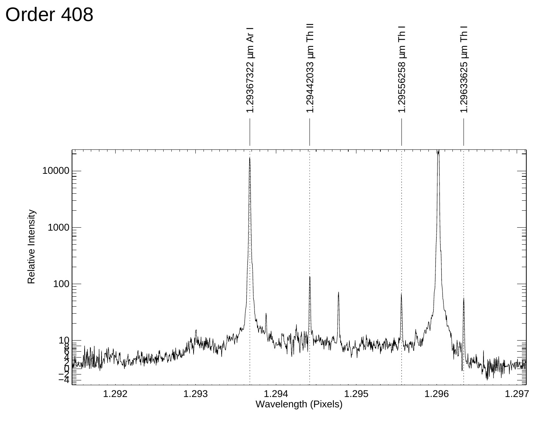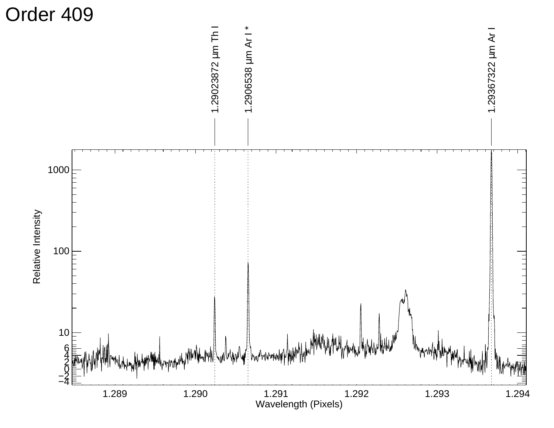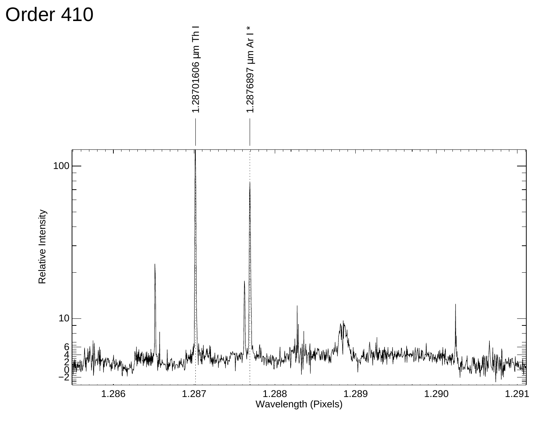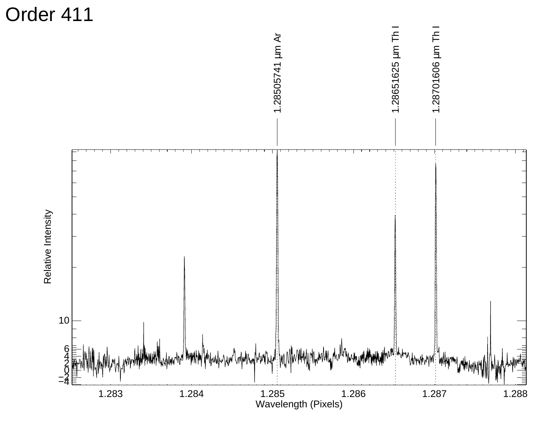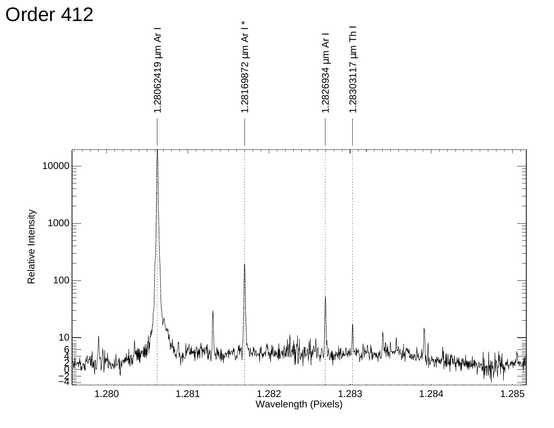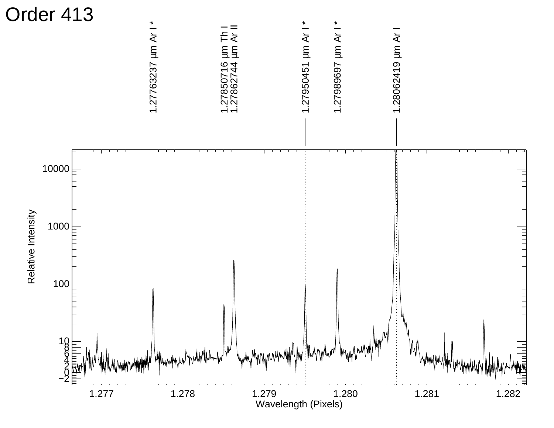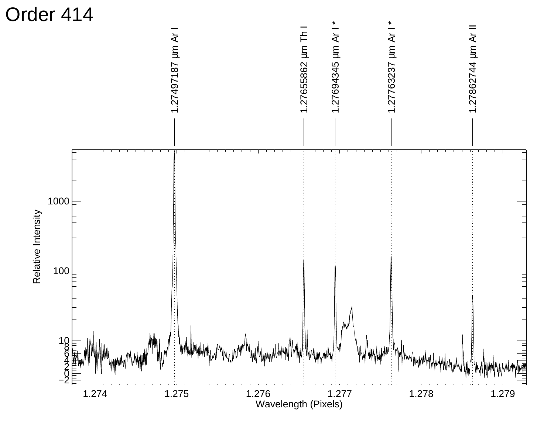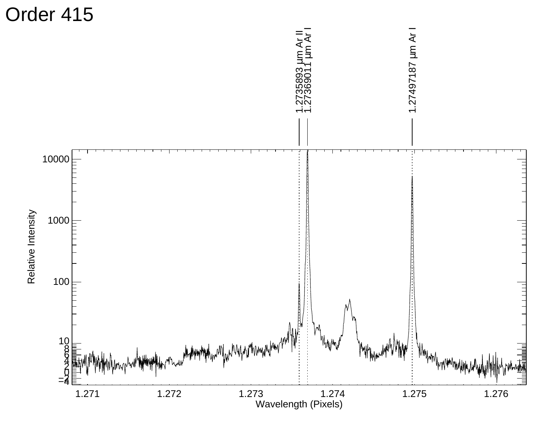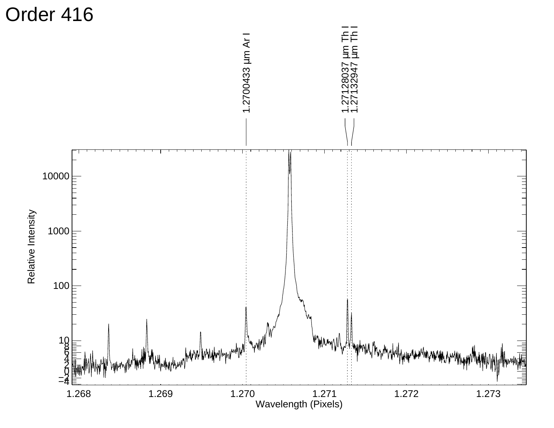